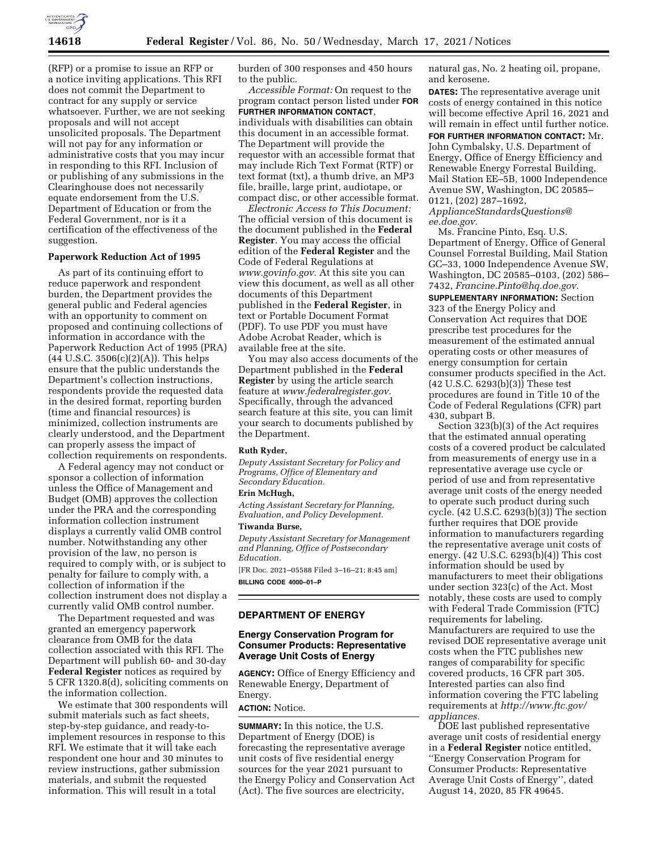

(RFP) or a promise to issue an RFP or a notice inviting applications. This RFI does not commit the Department to contract for any supply or service whatsoever. Further, we are not seeking proposals and will not accept unsolicited proposals. The Department will not pay for any information or administrative costs that you may incur in responding to this RFI. Inclusion of or publishing of any submissions in the Clearinghouse does not necessarily equate endorsement from the U.S. Department of Education or from the Federal Government, nor is it a certification of the effectiveness of the suggestion.

## **Paperwork Reduction Act of 1995**

As part of its continuing effort to reduce paperwork and respondent burden, the Department provides the general public and Federal agencies with an opportunity to comment on proposed and continuing collections of information in accordance with the Paperwork Reduction Act of 1995 (PRA)  $(44 \text{ U.S.C. } 3506(c)(2)(A))$ . This helps ensure that the public understands the Department's collection instructions, respondents provide the requested data in the desired format, reporting burden (time and financial resources) is minimized, collection instruments are clearly understood, and the Department can properly assess the impact of collection requirements on respondents.

A Federal agency may not conduct or sponsor a collection of information unless the Office of Management and Budget (OMB) approves the collection under the PRA and the corresponding information collection instrument displays a currently valid OMB control number. Notwithstanding any other provision of the law, no person is required to comply with, or is subject to penalty for failure to comply with, a collection of information if the collection instrument does not display a currently valid OMB control number.

The Department requested and was granted an emergency paperwork clearance from OMB for the data collection associated with this RFI. The Department will publish 60- and 30-day **Federal Register** notices as required by 5 CFR 1320.8(d), soliciting comments on the information collection.

We estimate that 300 respondents will submit materials such as fact sheets, step-by-step guidance, and ready-toimplement resources in response to this RFI. We estimate that it will take each respondent one hour and 30 minutes to review instructions, gather submission materials, and submit the requested information. This will result in a total

burden of 300 responses and 450 hours to the public.

*Accessible Format:* On request to the program contact person listed under **FOR FURTHER INFORMATION CONTACT**, individuals with disabilities can obtain this document in an accessible format. The Department will provide the requestor with an accessible format that may include Rich Text Format (RTF) or text format (txt), a thumb drive, an MP3 file, braille, large print, audiotape, or compact disc, or other accessible format.

*Electronic Access to This Document:*  The official version of this document is the document published in the **Federal Register**. You may access the official edition of the **Federal Register** and the Code of Federal Regulations at *[www.govinfo.gov.](http://www.govinfo.gov)* At this site you can view this document, as well as all other documents of this Department published in the **Federal Register**, in text or Portable Document Format (PDF). To use PDF you must have Adobe Acrobat Reader, which is available free at the site.

You may also access documents of the Department published in the **Federal Register** by using the article search feature at *[www.federalregister.gov.](http://www.federalregister.gov)*  Specifically, through the advanced search feature at this site, you can limit your search to documents published by the Department.

## **Ruth Ryder,**

*Deputy Assistant Secretary for Policy and Programs, Office of Elementary and Secondary Education.* 

## **Erin McHugh,**

*Acting Assistant Secretary for Planning, Evaluation, and Policy Development.*  **Tiwanda Burse,** 

*Deputy Assistant Secretary for Management and Planning, Office of Postsecondary Education.* 

[FR Doc. 2021–05588 Filed 3–16–21; 8:45 am] **BILLING CODE 4000–01–P** 

# **DEPARTMENT OF ENERGY**

# **Energy Conservation Program for Consumer Products: Representative Average Unit Costs of Energy**

**AGENCY:** Office of Energy Efficiency and Renewable Energy, Department of Energy.

# **ACTION:** Notice.

**SUMMARY:** In this notice, the U.S. Department of Energy (DOE) is forecasting the representative average unit costs of five residential energy sources for the year 2021 pursuant to the Energy Policy and Conservation Act (Act). The five sources are electricity,

natural gas, No. 2 heating oil, propane, and kerosene.

**DATES:** The representative average unit costs of energy contained in this notice will become effective April 16, 2021 and will remain in effect until further notice.

**FOR FURTHER INFORMATION CONTACT:** Mr. John Cymbalsky, U.S. Department of Energy, Office of Energy Efficiency and Renewable Energy Forrestal Building, Mail Station EE–5B, 1000 Independence Avenue SW, Washington, DC 20585– 0121, (202) 287–1692,

*[ApplianceStandardsQuestions@](mailto:ApplianceStandardsQuestions@ee.doe.gov) [ee.doe.gov.](mailto:ApplianceStandardsQuestions@ee.doe.gov)* 

Ms. Francine Pinto, Esq. U.S. Department of Energy, Office of General Counsel Forrestal Building, Mail Station GC–33, 1000 Independence Avenue SW, Washington, DC 20585–0103, (202) 586– 7432, *[Francine.Pinto@hq.doe.gov.](mailto:Francine.Pinto@hq.doe.gov)* 

**SUPPLEMENTARY INFORMATION:** Section 323 of the Energy Policy and Conservation Act requires that DOE prescribe test procedures for the measurement of the estimated annual operating costs or other measures of energy consumption for certain consumer products specified in the Act.  $(42 \text{ U.S.C. } 6293(b)(3))$  These test procedures are found in Title 10 of the Code of Federal Regulations (CFR) part 430, subpart B.

Section 323(b)(3) of the Act requires that the estimated annual operating costs of a covered product be calculated from measurements of energy use in a representative average use cycle or period of use and from representative average unit costs of the energy needed to operate such product during such cycle. (42 U.S.C. 6293(b)(3)) The section further requires that DOE provide information to manufacturers regarding the representative average unit costs of energy. (42 U.S.C. 6293(b)(4)) This cost information should be used by manufacturers to meet their obligations under section 323(c) of the Act. Most notably, these costs are used to comply with Federal Trade Commission (FTC) requirements for labeling. Manufacturers are required to use the revised DOE representative average unit costs when the FTC publishes new ranges of comparability for specific covered products, 16 CFR part 305. Interested parties can also find information covering the FTC labeling requirements at *[http://www.ftc.gov/](http://www.ftc.gov/appliances) [appliances.](http://www.ftc.gov/appliances)* 

DOE last published representative average unit costs of residential energy in a **Federal Register** notice entitled, ''Energy Conservation Program for Consumer Products: Representative Average Unit Costs of Energy'', dated August 14, 2020, 85 FR 49645.